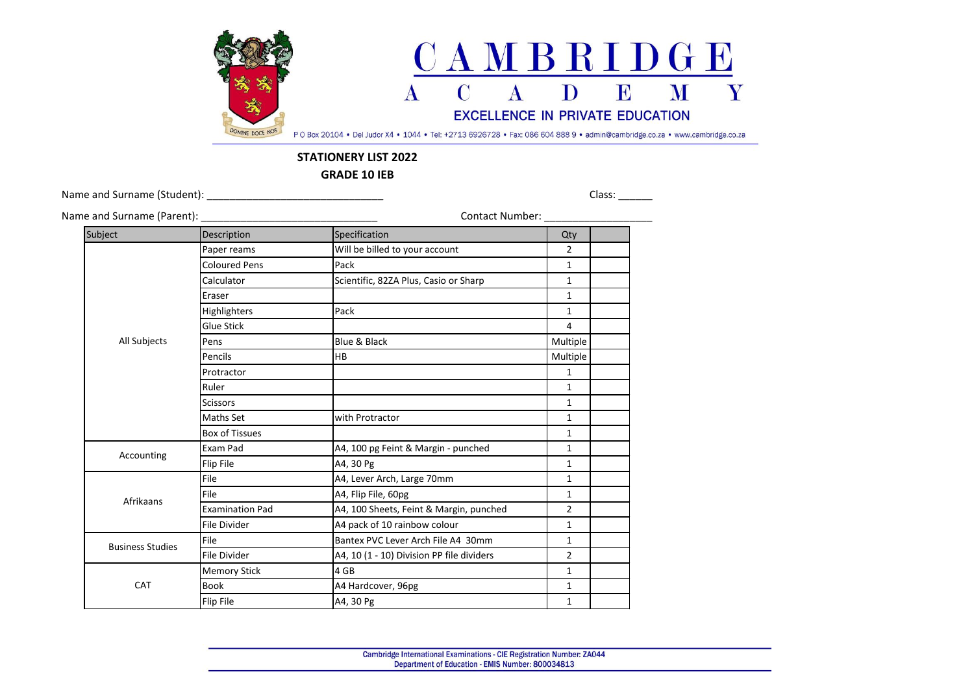

## **STATIONERY LIST 2022**

**GRADE 10 IEB**

Name and Surname (Student): \_\_\_\_\_\_\_\_\_\_\_\_\_\_\_\_\_\_\_\_\_\_\_\_\_\_\_\_\_\_\_ Class: \_\_\_\_\_\_

| Name and Surname (Parent): _ |                        | Contact Number:                           |                |  |
|------------------------------|------------------------|-------------------------------------------|----------------|--|
| Subject                      | Description            | Specification                             | Qty            |  |
| All Subjects                 | Paper reams            | Will be billed to your account            | $\overline{2}$ |  |
|                              | <b>Coloured Pens</b>   | Pack                                      | $\mathbf{1}$   |  |
|                              | Calculator             | Scientific, 82ZA Plus, Casio or Sharp     | $\mathbf{1}$   |  |
|                              | Eraser                 |                                           | $\mathbf{1}$   |  |
|                              | Highlighters           | Pack                                      | $\mathbf{1}$   |  |
|                              | <b>Glue Stick</b>      |                                           | 4              |  |
|                              | Pens                   | Blue & Black                              | Multiple       |  |
|                              | Pencils                | <b>HB</b>                                 | Multiple       |  |
|                              | Protractor             |                                           | $\mathbf{1}$   |  |
|                              | Ruler                  |                                           | 1              |  |
|                              | <b>Scissors</b>        |                                           | $\mathbf{1}$   |  |
|                              | <b>Maths Set</b>       | with Protractor                           | $\mathbf{1}$   |  |
|                              | <b>Box of Tissues</b>  |                                           | $\mathbf{1}$   |  |
|                              | Exam Pad               | A4, 100 pg Feint & Margin - punched       | $\mathbf{1}$   |  |
| Accounting                   | Flip File              | A4, 30 Pg                                 | $\mathbf{1}$   |  |
|                              | File                   | A4, Lever Arch, Large 70mm                | $\mathbf{1}$   |  |
|                              | File                   | A4, Flip File, 60pg                       | $\mathbf{1}$   |  |
| Afrikaans                    | <b>Examination Pad</b> | A4, 100 Sheets, Feint & Margin, punched   | $\overline{2}$ |  |
|                              | <b>File Divider</b>    | A4 pack of 10 rainbow colour              | $\mathbf{1}$   |  |
| <b>Business Studies</b>      | File                   | Bantex PVC Lever Arch File A4 30mm        | $\mathbf{1}$   |  |
|                              | <b>File Divider</b>    | A4, 10 (1 - 10) Division PP file dividers | $\overline{2}$ |  |
| CAT                          | <b>Memory Stick</b>    | 4 GB                                      | $\mathbf{1}$   |  |
|                              | <b>Book</b>            | A4 Hardcover, 96pg                        | $\mathbf{1}$   |  |
|                              | Flip File              | A4, 30 Pg                                 | $\mathbf{1}$   |  |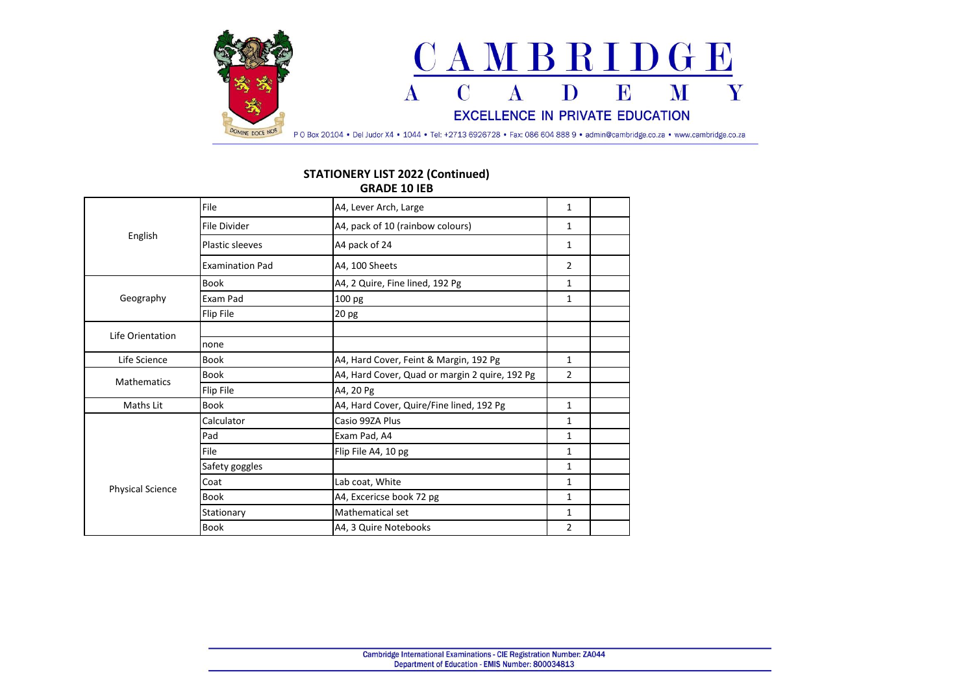

## **STATIONERY LIST 2022 (Continued) GRADE 10 IEB**

| English                 | File                   | A4, Lever Arch, Large                          | 1            |  |
|-------------------------|------------------------|------------------------------------------------|--------------|--|
|                         | File Divider           | A4, pack of 10 (rainbow colours)               | 1            |  |
|                         | <b>Plastic sleeves</b> | A4 pack of 24                                  | 1            |  |
|                         | <b>Examination Pad</b> | A4, 100 Sheets                                 | 2            |  |
| Geography               | <b>Book</b>            | A4, 2 Quire, Fine lined, 192 Pg                | $\mathbf{1}$ |  |
|                         | Exam Pad               | 100 pg                                         | 1            |  |
|                         | Flip File              | 20 pg                                          |              |  |
| Life Orientation        |                        |                                                |              |  |
|                         | none                   |                                                |              |  |
| Life Science            | <b>Book</b>            | A4, Hard Cover, Feint & Margin, 192 Pg         | 1            |  |
| <b>Mathematics</b>      | <b>Book</b>            | A4, Hard Cover, Quad or margin 2 quire, 192 Pg | 2            |  |
|                         | Flip File              | A4, 20 Pg                                      |              |  |
| Maths Lit               | <b>Book</b>            | A4, Hard Cover, Quire/Fine lined, 192 Pg       | 1            |  |
|                         | Calculator             | Casio 99ZA Plus                                | 1            |  |
| <b>Physical Science</b> | Pad                    | Exam Pad, A4                                   | 1            |  |
|                         | File                   | Flip File A4, 10 pg                            | 1            |  |
|                         | Safety goggles         |                                                | 1            |  |
|                         | Coat                   | Lab coat, White                                | $\mathbf{1}$ |  |
|                         | <b>Book</b>            | A4, Excericse book 72 pg                       | 1            |  |
|                         | Stationary             | Mathematical set                               | 1            |  |
|                         | <b>Book</b>            | A4, 3 Quire Notebooks                          | 2            |  |
|                         |                        |                                                |              |  |